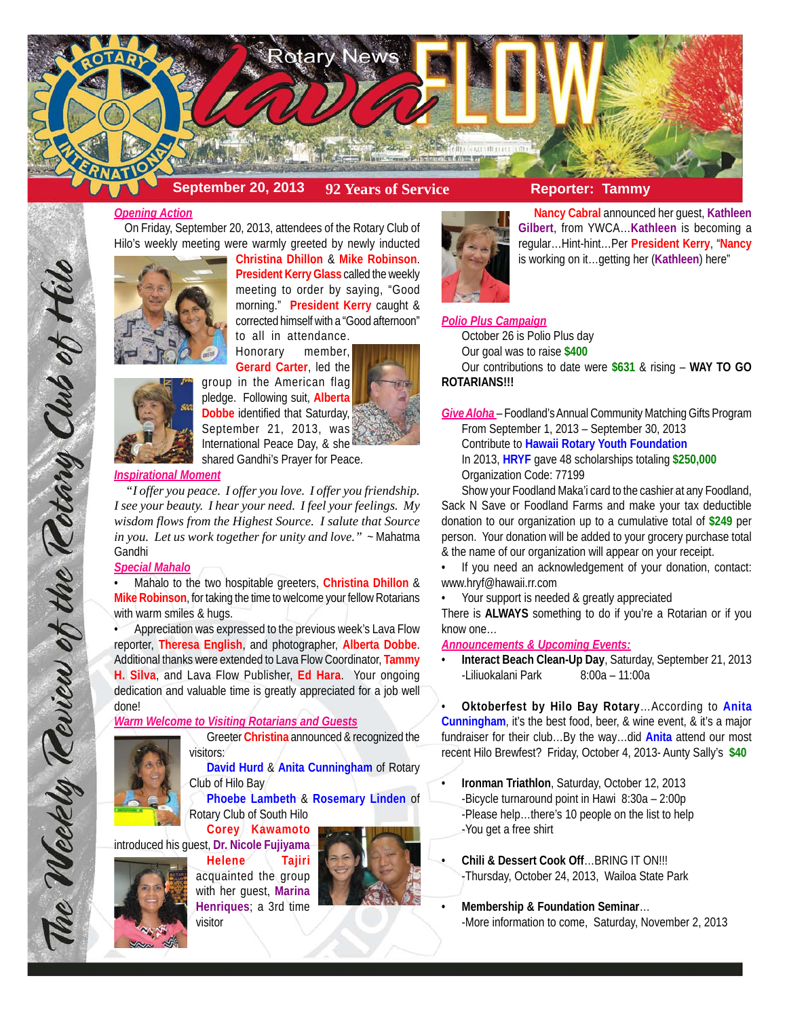

# **September 20, 2013 92 Years of Service Reporter: Tammy**

#### *Opening Action*

 On Friday, September 20, 2013, attendees of the Rotary Club of Hilo's weekly meeting were warmly greeted by newly inducted



**Christina Dhillon** & **Mike Robinson**. **President Kerry Glass** called the weekly meeting to order by saying, "Good morning." **President Kerry** caught & corrected himself with a "Good afternoon" to all in attendance.



Honorary member, **Gerard Carter**, led the group in the American flag pledge. Following suit, **Alberta Dobbe** identified that Saturday, September 21, 2013, was International Peace Day, & she shared Gandhi's Prayer for Peace.

#### *Inspirational Moment*

 *"I offer you peace. I offer you love. I offer you friendship. I see your beauty. I hear your need. I feel your feelings. My wisdom flows from the Highest Source. I salute that Source in you. Let us work together for unity and love."* ~ Mahatma Gandhi

### *Special Mahalo*

The Weekly Teview of the Tetary Club of Hil

• Mahalo to the two hospitable greeters, **Christina Dhillon** & **Mike Robinson**, for taking the time to welcome your fellow Rotarians with warm smiles & hugs.

• Appreciation was expressed to the previous week's Lava Flow reporter, **Theresa English**, and photographer, **Alberta Dobbe**. Additional thanks were extended to Lava Flow Coordinator, **Tammy H. Silva**, and Lava Flow Publisher, **Ed Hara**. Your ongoing dedication and valuable time is greatly appreciated for a job well done!

#### *Warm Welcome to Visiting Rotarians and Guests*

Greeter **Christina** announced & recognized the visitors:



**David Hurd** & **Anita Cunningham** of Rotary Club of Hilo Bay

**Phoebe Lambeth** & **Rosemary Linden** of Rotary Club of South Hilo

**Corey Kawamoto** introduced his guest, **Dr. Nicole Fujiyama**



**Helene Tajiri** acquainted the group with her guest, **Marina Henriques**; a 3rd time visitor





**Nancy Cabral** announced her guest, **Kathleen Gilbert**, from YWCA…**Kathleen** is becoming a regular…Hint-hint…Per **President Kerry**, "**Nancy** is working on it…getting her (**Kathleen**) here"

#### *Polio Plus Campaign*

October 26 is Polio Plus day

Our goal was to raise **\$400**

Our contributions to date were **\$631** & rising – **WAY TO GO ROTARIANS!!!**

*Give Aloha* – Foodland's Annual Community Matching Gifts Program From September 1, 2013 – September 30, 2013 Contribute to **Hawaii Rotary Youth Foundation** In 2013, **HRYF** gave 48 scholarships totaling **\$250,000** Organization Code: 77199

Show your Foodland Maka'i card to the cashier at any Foodland, Sack N Save or Foodland Farms and make your tax deductible donation to our organization up to a cumulative total of **\$249** per person. Your donation will be added to your grocery purchase total & the name of our organization will appear on your receipt.

If you need an acknowledgement of your donation, contact: www.hryf@hawaii.rr.com

• Your support is needed & greatly appreciated

There is **ALWAYS** something to do if you're a Rotarian or if you know one…

## *Announcements & Upcoming Events:*

• **Interact Beach Clean-Up Day**, Saturday, September 21, 2013 -Liliuokalani Park 8:00a – 11:00a

• **Oktoberfest by Hilo Bay Rotary**…According to **Anita Cunningham**, it's the best food, beer, & wine event, & it's a major fundraiser for their club…By the way…did **Anita** attend our most recent Hilo Brewfest? Friday, October 4, 2013- Aunty Sally's **\$40**

- **Ironman Triathlon**, Saturday, October 12, 2013 -Bicycle turnaround point in Hawi 8:30a – 2:00p -Please help…there's 10 people on the list to help -You get a free shirt
- **Chili & Dessert Cook Off**…BRING IT ON!!! -Thursday, October 24, 2013, Wailoa State Park
- **Membership & Foundation Seminar**… -More information to come, Saturday, November 2, 2013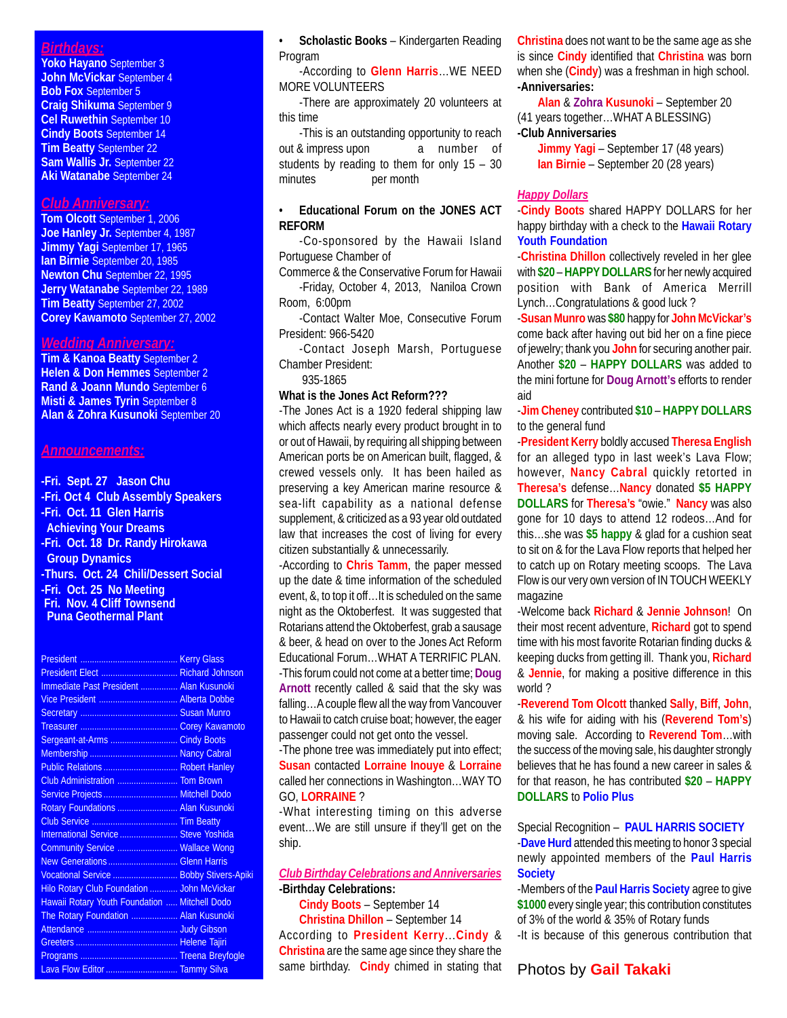## *Birthdays:*

**Yoko Hayano** September 3 **John McVickar** September 4 **Bob Fox** September 5 **Craig Shikuma** September 9 **Cel Ruwethin** September 10 **Cindy Boots** September 14 **Tim Beatty** September 22 **Sam Wallis Jr.** September 22 **Aki Watanabe** September 24

# *Club Anniversary:*

**Tom Olcott** September 1, 2006 **Joe Hanley Jr.** September 4, 1987 **Jimmy Yagi** September 17, 1965 **Ian Birnie** September 20, 1985 **Newton Chu** September 22, 1995 **Jerry Watanabe** September 22, 1989 **Tim Beatty** September 27, 2002 **Corey Kawamoto** September 27, 2002

## *Wedding Anniversary:*

**Tim & Kanoa Beatty** September 2 **Helen & Don Hemmes** September 2 **Rand & Joann Mundo** September 6 **Misti & James Tyrin** September 8 **Alan & Zohra Kusunoki** September 20

#### *Announcements:*

**-Fri. Sept. 27 Jason Chu -Fri. Oct 4 Club Assembly Speakers -Fri. Oct. 11 Glen Harris Achieving Your Dreams -Fri. Oct. 18 Dr. Randy Hirokawa Group Dynamics -Thurs. Oct. 24 Chili/Dessert Social -Fri. Oct. 25 No Meeting Fri. Nov. 4 Cliff Townsend Puna Geothermal Plant**

| President Elect  Richard Johnson              |  |
|-----------------------------------------------|--|
| Immediate Past President  Alan Kusunoki       |  |
| Vice President  Alberta Dobbe                 |  |
|                                               |  |
|                                               |  |
| Sergeant-at-Arms  Cindy Boots                 |  |
|                                               |  |
| Public Relations  Robert Hanley               |  |
| Club Administration  Tom Brown                |  |
| Service Projects  Mitchell Dodo               |  |
| Rotary Foundations  Alan Kusunoki             |  |
|                                               |  |
| International Service  Steve Yoshida          |  |
| Community Service  Wallace Wong               |  |
| New Generations  Glenn Harris                 |  |
| Vocational Service  Bobby Stivers-Apiki       |  |
| Hilo Rotary Club Foundation  John McVickar    |  |
| Hawaii Rotary Youth Foundation  Mitchell Dodo |  |
| The Rotary Foundation  Alan Kusunoki          |  |
|                                               |  |
|                                               |  |
|                                               |  |
| Lava Flow Editor  Tammy Silva                 |  |

• **Scholastic Books** – Kindergarten Reading Program

-According to **Glenn Harris**…WE NEED MORE VOLUNTEERS

-There are approximately 20 volunteers at this time

-This is an outstanding opportunity to reach out & impress upon a number of students by reading to them for only 15 – 30 minutes per month

#### • **Educational Forum on the JONES ACT REFORM**

-Co-sponsored by the Hawaii Island Portuguese Chamber of

Commerce & the Conservative Forum for Hawaii -Friday, October 4, 2013, Naniloa Crown Room, 6:00pm

-Contact Walter Moe, Consecutive Forum President: 966-5420

-Contact Joseph Marsh, Portuguese Chamber President:

935-1865

## **What is the Jones Act Reform???**

-The Jones Act is a 1920 federal shipping law which affects nearly every product brought in to or out of Hawaii, by requiring all shipping between American ports be on American built, flagged, & crewed vessels only. It has been hailed as preserving a key American marine resource & sea-lift capability as a national defense supplement, & criticized as a 93 year old outdated law that increases the cost of living for every citizen substantially & unnecessarily.

-According to **Chris Tamm**, the paper messed up the date & time information of the scheduled event, &, to top it off…It is scheduled on the same night as the Oktoberfest. It was suggested that Rotarians attend the Oktoberfest, grab a sausage & beer, & head on over to the Jones Act Reform Educational Forum…WHAT A TERRIFIC PLAN. -This forum could not come at a better time; **Doug Arnott** recently called & said that the sky was falling…A couple flew all the way from Vancouver to Hawaii to catch cruise boat; however, the eager passenger could not get onto the vessel.

-The phone tree was immediately put into effect; **Susan** contacted **Lorraine Inouye** & **Lorraine** called her connections in Washington…WAY TO GO, **LORRAINE** ?

-What interesting timing on this adverse event…We are still unsure if they'll get on the ship.

## *Club Birthday Celebrations and Anniversaries* **-Birthday Celebrations:**

**Cindy Boots** – September 14 **Christina Dhillon** – September 14 According to **President Kerry**...**Cindy** & **Christina** are the same age since they share the same birthday. **Cindy** chimed in stating that **Christina** does not want to be the same age as she is since **Cindy** identified that **Christina** was born when she (**Cindy**) was a freshman in high school. **-Anniversaries:**

**Alan** & **Zohra Kusunoki** – September 20 (41 years together…WHAT A BLESSING) **-Club Anniversaries**

#### **Jimmy Yagi** – September 17 (48 years) **Ian Birnie** – September 20 (28 years)

#### *Happy Dollars*

-**Cindy Boots** shared HAPPY DOLLARS for her happy birthday with a check to the **Hawaii Rotary Youth Foundation**

-**Christina Dhillon** collectively reveled in her glee with **\$20** – **HAPPY DOLLARS** for her newly acquired position with Bank of America Merrill Lynch…Congratulations & good luck ?

-**Susan Munro** was **\$80** happy for **John McVickar's** come back after having out bid her on a fine piece of jewelry; thank you **John** for securing another pair. Another **\$20** – **HAPPY DOLLARS** was added to the mini fortune for **Doug Arnott's** efforts to render aid

-**Jim Cheney** contributed **\$10** – **HAPPY DOLLARS** to the general fund

-**President Kerry** boldly accused **Theresa English** for an alleged typo in last week's Lava Flow; however, **Nancy Cabral** quickly retorted in **Theresa's** defense…**Nancy** donated **\$5 HAPPY DOLLARS** for **Theresa's** "owie." **Nancy** was also gone for 10 days to attend 12 rodeos…And for this…she was **\$5 happy** & glad for a cushion seat to sit on & for the Lava Flow reports that helped her to catch up on Rotary meeting scoops. The Lava Flow is our very own version of IN TOUCH WEEKLY magazine

-Welcome back **Richard** & **Jennie Johnson**! On their most recent adventure, **Richard** got to spend time with his most favorite Rotarian finding ducks & keeping ducks from getting ill. Thank you, **Richard** & **Jennie**, for making a positive difference in this world ?

-**Reverend Tom Olcott** thanked **Sally**, **Biff**, **John**, & his wife for aiding with his (**Reverend Tom's**) moving sale. According to **Reverend Tom**…with the success of the moving sale, his daughter strongly believes that he has found a new career in sales & for that reason, he has contributed **\$20** – **HAPPY DOLLARS** to **Polio Plus**

Special Recognition – **PAUL HARRIS SOCIETY** -**Dave Hurd** attended this meeting to honor 3 special newly appointed members of the **Paul Harris Society**

-Members of the **Paul Harris Society** agree to give **\$1000** every single year; this contribution constitutes of 3% of the world & 35% of Rotary funds

-It is because of this generous contribution that

#### Photos by **Gail Takaki**